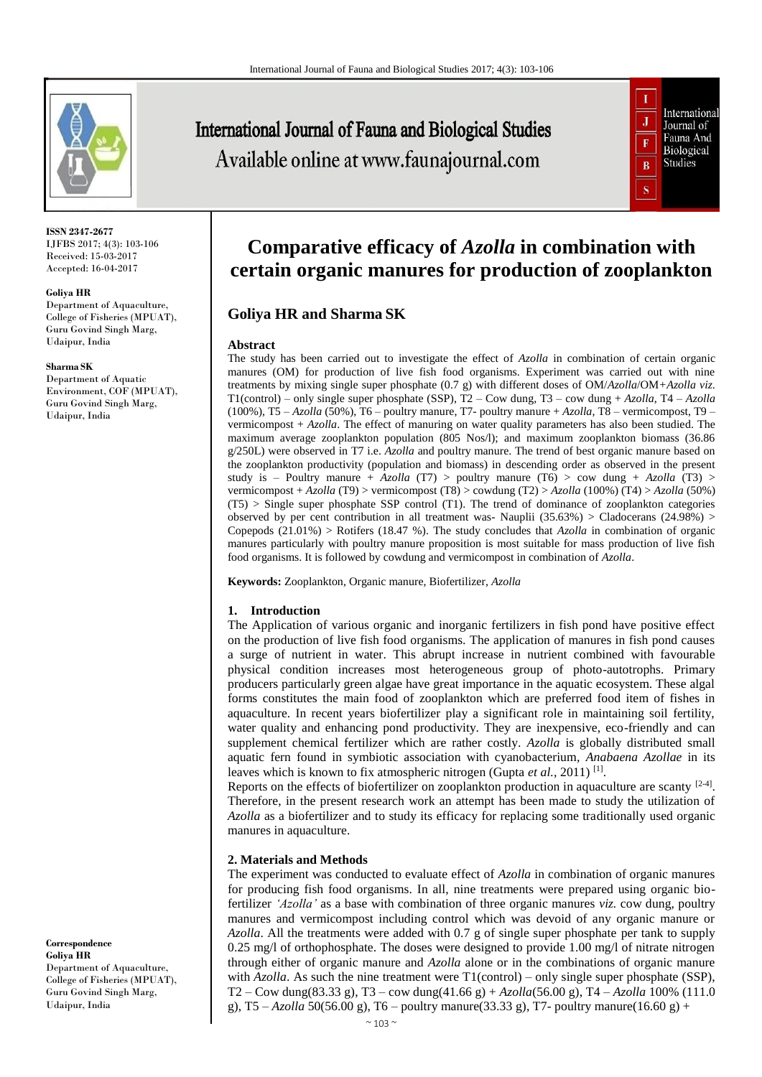

**ISSN 2347-2677** IJFBS 2017; 4(3): 103-106 Received: 15-03-2017 Accepted: 16-04-2017

#### **Goliya HR**

Department of Aquaculture, College of Fisheries (MPUAT), Guru Govind Singh Marg, Udaipur, India

#### **Sharma SK**

Department of Aquatic Environment, COF (MPUAT), Guru Govind Singh Marg, Udaipur, India

**Correspondence Goliya HR** Department of Aquaculture, College of Fisheries (MPUAT), Guru Govind Singh Marg, Udaipur, India

# **International Journal of Fauna and Biological Studies** Available online at www.faunajournal.com



# **Comparative efficacy of** *Azolla* **in combination with certain organic manures for production of zooplankton**

# **Goliya HR and Sharma SK**

### **Abstract**

The study has been carried out to investigate the effect of *Azolla* in combination of certain organic manures (OM) for production of live fish food organisms. Experiment was carried out with nine treatments by mixing single super phosphate (0.7 g) with different doses of OM/*Azolla*/OM*+Azolla viz*. T1(control) – only single super phosphate (SSP), T2 – Cow dung, T3 – cow dung + *Azolla*, T4 – *Azolla* (100%), T5 – *Azolla* (50%), T6 – poultry manure, T7- poultry manure + *Azolla*, T8 – vermicompost, T9 – vermicompost + *Azolla*. The effect of manuring on water quality parameters has also been studied. The maximum average zooplankton population (805 Nos/l); and maximum zooplankton biomass (36.86 g/250L) were observed in T7 i.e. *Azolla* and poultry manure. The trend of best organic manure based on the zooplankton productivity (population and biomass) in descending order as observed in the present study is – Poultry manure +  $Azolla$  (T7) > poultry manure (T6) > cow dung +  $Azolla$  (T3) > vermicompost + *Azolla* (T9) > vermicompost (T8) > cowdung (T2) > *Azolla* (100%) (T4) > *Azolla* (50%) (T5) > Single super phosphate SSP control (T1). The trend of dominance of zooplankton categories observed by per cent contribution in all treatment was- Nauplii (35.63%) > Cladocerans (24.98%) > Copepods (21.01%) > Rotifers (18.47 %). The study concludes that *Azolla* in combination of organic manures particularly with poultry manure proposition is most suitable for mass production of live fish food organisms. It is followed by cowdung and vermicompost in combination of *Azolla*.

**Keywords:** Zooplankton, Organic manure, Biofertilizer, *Azolla*

### **1. Introduction**

The Application of various organic and inorganic fertilizers in fish pond have positive effect on the production of live fish food organisms. The application of manures in fish pond causes a surge of nutrient in water. This abrupt increase in nutrient combined with favourable physical condition increases most heterogeneous group of photo-autotrophs. Primary producers particularly green algae have great importance in the aquatic ecosystem. These algal forms constitutes the main food of zooplankton which are preferred food item of fishes in aquaculture. In recent years biofertilizer play a significant role in maintaining soil fertility, water quality and enhancing pond productivity. They are inexpensive, eco-friendly and can supplement chemical fertilizer which are rather costly. *Azolla* is globally distributed small aquatic fern found in symbiotic association with cyanobacterium*, Anabaena Azollae* in its leaves which is known to fix atmospheric nitrogen (Gupta et al., 2011)<sup>[1]</sup>.

Reports on the effects of biofertilizer on zooplankton production in aquaculture are scanty  $[2-4]$ . Therefore, in the present research work an attempt has been made to study the utilization of *Azolla* as a biofertilizer and to study its efficacy for replacing some traditionally used organic manures in aquaculture.

### **2. Materials and Methods**

The experiment was conducted to evaluate effect of *Azolla* in combination of organic manures for producing fish food organisms. In all, nine treatments were prepared using organic biofertilizer *'Azolla'* as a base with combination of three organic manures *viz.* cow dung, poultry manures and vermicompost including control which was devoid of any organic manure or *Azolla*. All the treatments were added with 0.7 g of single super phosphate per tank to supply 0.25 mg/l of orthophosphate. The doses were designed to provide 1.00 mg/l of nitrate nitrogen through either of organic manure and *Azolla* alone or in the combinations of organic manure with  $Azolla$ . As such the nine treatment were  $T1$ (control) – only single super phosphate (SSP), T2 – Cow dung(83.33 g), T3 – cow dung(41.66 g) + *Azolla*(56.00 g), T4 – *Azolla* 100% (111.0 g), T5 – *Azolla* 50(56.00 g), T6 – poultry manure(33.33 g), T7- poultry manure(16.60 g) +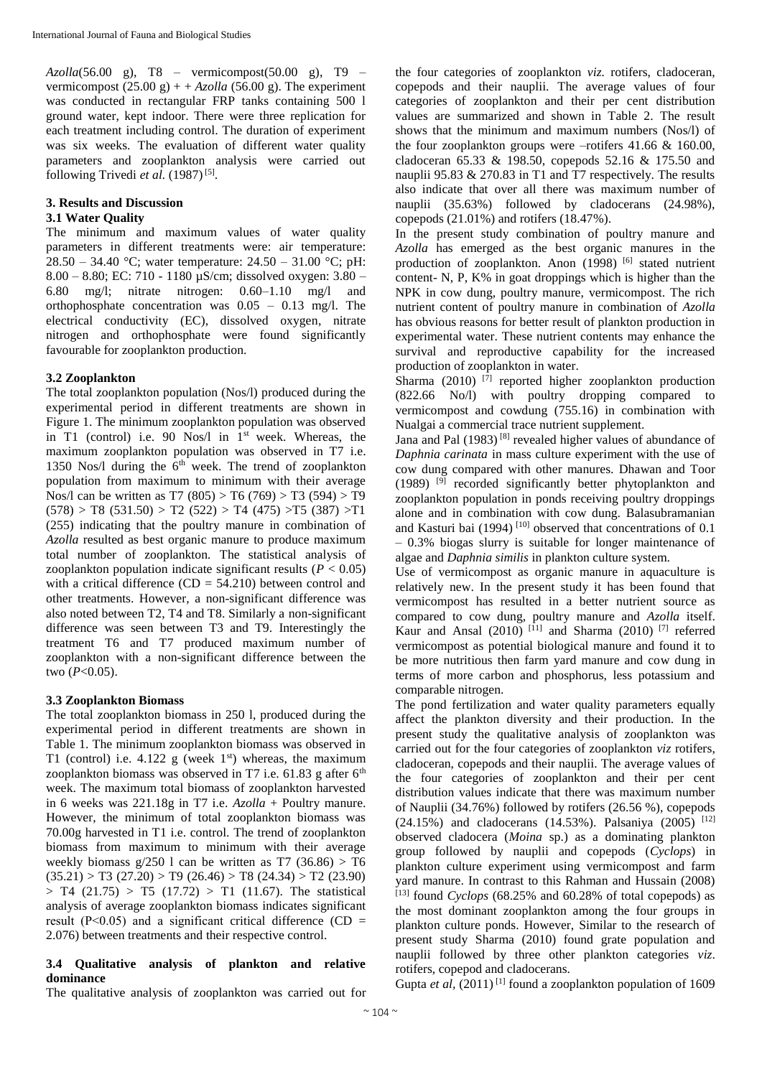*Azolla*(56.00 g), T8 – vermicompost(50.00 g), T9 – vermicompost  $(25.00 \text{ g}) + Azolla (56.00 \text{ g})$ . The experiment was conducted in rectangular FRP tanks containing 500 l ground water, kept indoor. There were three replication for each treatment including control. The duration of experiment was six weeks. The evaluation of different water quality parameters and zooplankton analysis were carried out following Trivedi et al. (1987)<sup>[5]</sup>.

# **3. Results and Discussion**

# **3.1 Water Quality**

The minimum and maximum values of water quality parameters in different treatments were: air temperature: 28.50 – 34.40 °C; water temperature: 24.50 – 31.00 °C; pH: 8.00 – 8.80; EC: 710 - 1180 µS/cm; dissolved oxygen: 3.80 – 6.80 mg/l; nitrate nitrogen: 0.60–1.10 mg/l and orthophosphate concentration was 0.05 – 0.13 mg/l. The electrical conductivity (EC), dissolved oxygen, nitrate nitrogen and orthophosphate were found significantly favourable for zooplankton production.

### **3.2 Zooplankton**

The total zooplankton population (Nos/l) produced during the experimental period in different treatments are shown in Figure 1. The minimum zooplankton population was observed in T1 (control) i.e. 90 Nos/l in  $1<sup>st</sup>$  week. Whereas, the maximum zooplankton population was observed in T7 i.e. 1350 Nos/l during the  $6<sup>th</sup>$  week. The trend of zooplankton population from maximum to minimum with their average Nos/l can be written as T7 (805) > T6 (769) > T3 (594) > T9  $(578) > T8$   $(531.50) > T2$   $(522) > T4$   $(475) > T5$   $(387) > T1$ (255) indicating that the poultry manure in combination of *Azolla* resulted as best organic manure to produce maximum total number of zooplankton*.* The statistical analysis of zooplankton population indicate significant results ( $P < 0.05$ ) with a critical difference  $(CD = 54.210)$  between control and other treatments. However, a non-significant difference was also noted between T2, T4 and T8. Similarly a non-significant difference was seen between T3 and T9. Interestingly the treatment T6 and T7 produced maximum number of zooplankton with a non-significant difference between the two (*P*<0.05).

### **3.3 Zooplankton Biomass**

The total zooplankton biomass in 250 l, produced during the experimental period in different treatments are shown in Table 1. The minimum zooplankton biomass was observed in T1 (control) i.e.  $4.122$  g (week  $1<sup>st</sup>$ ) whereas, the maximum zooplankton biomass was observed in T7 i.e.  $61.83$  g after  $6<sup>th</sup>$ week. The maximum total biomass of zooplankton harvested in 6 weeks was 221.18g in T7 i.e. *Azolla* + Poultry manure. However, the minimum of total zooplankton biomass was 70.00g harvested in T1 i.e. control. The trend of zooplankton biomass from maximum to minimum with their average weekly biomass  $g/250$  l can be written as T7 (36.86) > T6  $(35.21) > T3 (27.20) > T9 (26.46) > T8 (24.34) > T2 (23.90)$  $>$  T4 (21.75)  $>$  T5 (17.72)  $>$  T1 (11.67). The statistical analysis of average zooplankton biomass indicates significant result ( $P<0.05$ ) and a significant critical difference (CD = 2.076) between treatments and their respective control.

### **3.4 Qualitative analysis of plankton and relative dominance**

The qualitative analysis of zooplankton was carried out for

the four categories of zooplankton *viz.* rotifers, cladoceran, copepods and their nauplii. The average values of four categories of zooplankton and their per cent distribution values are summarized and shown in Table 2. The result shows that the minimum and maximum numbers (Nos/l) of the four zooplankton groups were –rotifers 41.66 & 160.00, cladoceran 65.33 & 198.50, copepods 52.16 & 175.50 and nauplii 95.83 & 270.83 in T1 and T7 respectively. The results also indicate that over all there was maximum number of nauplii (35.63%) followed by cladocerans (24.98%), copepods (21.01%) and rotifers (18.47%).

In the present study combination of poultry manure and *Azolla* has emerged as the best organic manures in the production of zooplankton. Anon (1998) <sup>[6]</sup> stated nutrient content- N, P, K% in goat droppings which is higher than the NPK in cow dung, poultry manure, vermicompost. The rich nutrient content of poultry manure in combination of *Azolla* has obvious reasons for better result of plankton production in experimental water. These nutrient contents may enhance the survival and reproductive capability for the increased production of zooplankton in water.

Sharma (2010)  $^{[7]}$  reported higher zooplankton production (822.66 No/l) with poultry dropping compared to vermicompost and cowdung (755.16) in combination with Nualgai a commercial trace nutrient supplement.

Jana and Pal (1983)<sup>[8]</sup> revealed higher values of abundance of *Daphnia carinata* in mass culture experiment with the use of cow dung compared with other manures. Dhawan and Toor  $(1989)$ <sup>[9]</sup> recorded significantly better phytoplankton and zooplankton population in ponds receiving poultry droppings alone and in combination with cow dung. Balasubramanian and Kasturi bai (1994)<sup>[10]</sup> observed that concentrations of  $0.1$ – 0.3% biogas slurry is suitable for longer maintenance of algae and *Daphnia similis* in plankton culture system.

Use of vermicompost as organic manure in aquaculture is relatively new. In the present study it has been found that vermicompost has resulted in a better nutrient source as compared to cow dung, poultry manure and *Azolla* itself. Kaur and Ansal (2010)  $^{[11]}$  and Sharma (2010) <sup>[7]</sup> referred vermicompost as potential biological manure and found it to be more nutritious then farm yard manure and cow dung in terms of more carbon and phosphorus, less potassium and comparable nitrogen.

The pond fertilization and water quality parameters equally affect the plankton diversity and their production. In the present study the qualitative analysis of zooplankton was carried out for the four categories of zooplankton *viz* rotifers, cladoceran, copepods and their nauplii. The average values of the four categories of zooplankton and their per cent distribution values indicate that there was maximum number of Nauplii (34.76%) followed by rotifers (26.56 %), copepods  $(24.15%)$  and cladocerans  $(14.53%)$ . Palsaniya  $(2005)$ <sup>[12]</sup> observed cladocera (*Moina* sp.) as a dominating plankton group followed by nauplii and copepods (*Cyclops*) in plankton culture experiment using vermicompost and farm yard manure. In contrast to this Rahman and Hussain (2008)  $[13]$  found *Cyclops* (68.25% and 60.28% of total copepods) as the most dominant zooplankton among the four groups in plankton culture ponds. However, Similar to the research of present study Sharma (2010) found grate population and nauplii followed by three other plankton categories *viz*. rotifers, copepod and cladocerans.

Gupta *et al*,  $(2011)^{[1]}$  found a zooplankton population of 1609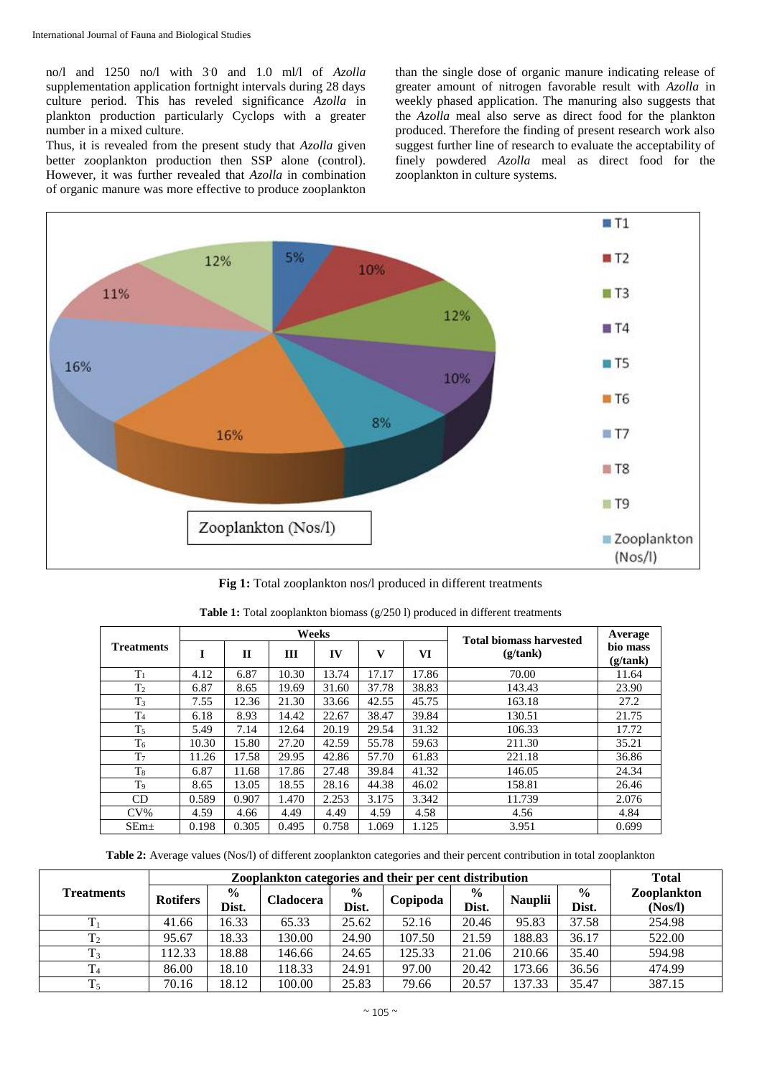no/l and 1250 no/l with 3.0 and 1.0 ml/l of *Azolla* supplementation application fortnight intervals during 28 days culture period. This has reveled significance *Azolla* in plankton production particularly Cyclops with a greater number in a mixed culture.

Thus, it is revealed from the present study that *Azolla* given better zooplankton production then SSP alone (control). However, it was further revealed that *Azolla* in combination of organic manure was more effective to produce zooplankton than the single dose of organic manure indicating release of greater amount of nitrogen favorable result with *Azolla* in weekly phased application. The manuring also suggests that the *Azolla* meal also serve as direct food for the plankton produced. Therefore the finding of present research work also suggest further line of research to evaluate the acceptability of finely powdered *Azolla* meal as direct food for the zooplankton in culture systems.



**Fig 1:** Total zooplankton nos/l produced in different treatments

|                   |       |              |       | Weeks | <b>Total biomass harvested</b> | Average |          |                      |
|-------------------|-------|--------------|-------|-------|--------------------------------|---------|----------|----------------------|
| <b>Treatments</b> | I     | $\mathbf{H}$ | Ш     | IV    | v                              | VI      | (g/tank) | bio mass<br>(g/tank) |
| $T_1$             | 4.12  | 6.87         | 10.30 | 13.74 | 17.17                          | 17.86   | 70.00    | 11.64                |
| T <sub>2</sub>    | 6.87  | 8.65         | 19.69 | 31.60 | 37.78                          | 38.83   | 143.43   | 23.90                |
| T <sub>3</sub>    | 7.55  | 12.36        | 21.30 | 33.66 | 42.55                          | 45.75   | 163.18   | 27.2                 |
| T <sub>4</sub>    | 6.18  | 8.93         | 14.42 | 22.67 | 38.47                          | 39.84   | 130.51   | 21.75                |
| T <sub>5</sub>    | 5.49  | 7.14         | 12.64 | 20.19 | 29.54                          | 31.32   | 106.33   | 17.72                |
| T <sub>6</sub>    | 10.30 | 15.80        | 27.20 | 42.59 | 55.78                          | 59.63   | 211.30   | 35.21                |
| T <sub>7</sub>    | 11.26 | 17.58        | 29.95 | 42.86 | 57.70                          | 61.83   | 221.18   | 36.86                |
| $T_8$             | 6.87  | 11.68        | 17.86 | 27.48 | 39.84                          | 41.32   | 146.05   | 24.34                |
| T <sub>9</sub>    | 8.65  | 13.05        | 18.55 | 28.16 | 44.38                          | 46.02   | 158.81   | 26.46                |
| CD                | 0.589 | 0.907        | 1.470 | 2.253 | 3.175                          | 3.342   | 11.739   | 2.076                |
| $CV\%$            | 4.59  | 4.66         | 4.49  | 4.49  | 4.59                           | 4.58    | 4.56     | 4.84                 |
| SEm <sub>±</sub>  | 0.198 | 0.305        | 0.495 | 0.758 | 1.069                          | 1.125   | 3.951    | 0.699                |

| <b>Table 1:</b> Total zooplankton biomass $(g/250)$ produced in different treatments |  |  |
|--------------------------------------------------------------------------------------|--|--|
|--------------------------------------------------------------------------------------|--|--|

**Table 2:** Average values (Nos/l) of different zooplankton categories and their percent contribution in total zooplankton

|                   |                 | <b>Total</b>           |                  |                        |          |                        |                |                        |                        |
|-------------------|-----------------|------------------------|------------------|------------------------|----------|------------------------|----------------|------------------------|------------------------|
| <b>Treatments</b> | <b>Rotifers</b> | $\frac{6}{9}$<br>Dist. | <b>Cladocera</b> | $\frac{0}{0}$<br>Dist. | Copipoda | $\frac{0}{0}$<br>Dist. | <b>Nauplii</b> | $\frac{6}{6}$<br>Dist. | Zooplankton<br>(Nos/l) |
|                   | 41.66           | 16.33                  | 65.33            | 25.62                  | 52.16    | 20.46                  | 95.83          | 37.58                  | 254.98                 |
| T <sub>2</sub>    | 95.67           | 18.33                  | 130.00           | 24.90                  | 107.50   | 21.59                  | 188.83         | 36.17                  | 522.00                 |
| T <sub>3</sub>    | 112.33          | 18.88                  | 146.66           | 24.65                  | 125.33   | 21.06                  | 210.66         | 35.40                  | 594.98                 |
| $\rm T_4$         | 86.00           | 18.10                  | 18.33            | 24.91                  | 97.00    | 20.42                  | 173.66         | 36.56                  | 474.99                 |
| $T_5$             | 70.16           | 18.12                  | 100.00           | 25.83                  | 79.66    | 20.57                  | 137.33         | 35.47                  | 387.15                 |